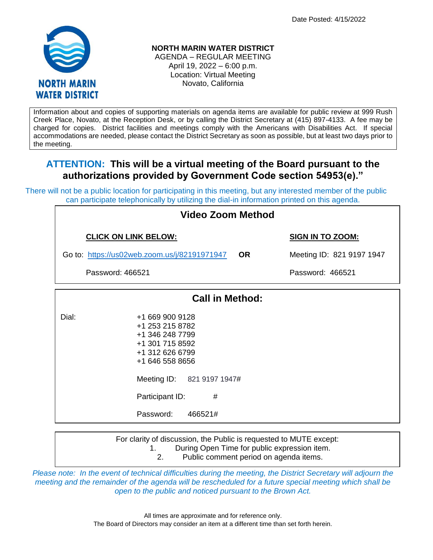Date Posted: 4/15/2022



**NORTH MARIN WATER DISTRICT** AGENDA – REGULAR MEETING

April 19, 2022 – 6:00 p.m. Location: Virtual Meeting Novato, California

Information about and copies of supporting materials on agenda items are available for public review at 999 Rush Creek Place, Novato, at the Reception Desk, or by calling the District Secretary at (415) 897-4133. A fee may be charged for copies. District facilities and meetings comply with the Americans with Disabilities Act. If special accommodations are needed, please contact the District Secretary as soon as possible, but at least two days prior to the meeting.

# **ATTENTION: This will be a virtual meeting of the Board pursuant to the authorizations provided by Government Code section 54953(e)."**

There will not be a public location for participating in this meeting, but any interested member of the public can participate telephonically by utilizing the dial-in information printed on this agenda.

| Video Zoom Method                                         |                                                                                                                                                                                           |                           |  |  |
|-----------------------------------------------------------|-------------------------------------------------------------------------------------------------------------------------------------------------------------------------------------------|---------------------------|--|--|
| <b>CLICK ON LINK BELOW:</b>                               |                                                                                                                                                                                           | <b>SIGN IN TO ZOOM:</b>   |  |  |
| Go to: https://us02web.zoom.us/j/82191971947<br><b>OR</b> |                                                                                                                                                                                           | Meeting ID: 821 9197 1947 |  |  |
| Password: 466521                                          |                                                                                                                                                                                           | Password: 466521          |  |  |
| <b>Call in Method:</b>                                    |                                                                                                                                                                                           |                           |  |  |
| Dial:                                                     | +1 669 900 9128<br>+1 253 215 8782<br>+1 346 248 7799<br>+1 301 715 8592<br>+1 312 626 6799<br>+1 646 558 8656<br>Meeting ID: 821 9197 1947#<br>Participant ID:<br>#<br>Password: 466521# |                           |  |  |

For clarity of discussion, the Public is requested to MUTE except:

1. During Open Time for public expression item.

2. Public comment period on agenda items.

*Please note: In the event of technical difficulties during the meeting, the District Secretary will adjourn the meeting and the remainder of the agenda will be rescheduled for a future special meeting which shall be open to the public and noticed pursuant to the Brown Act.*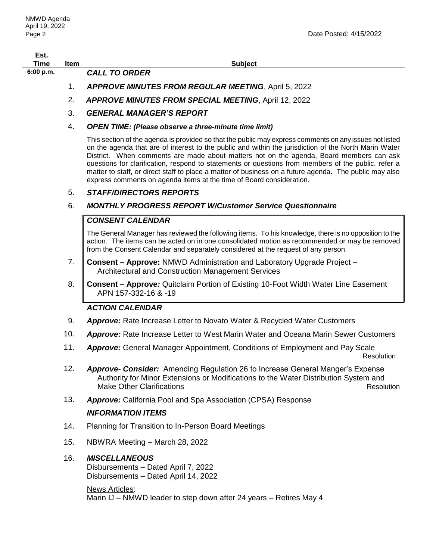| Est.<br>Time | ltem | Subiect                                                     |
|--------------|------|-------------------------------------------------------------|
| 6:00 p.m.    |      | <b>CALL TO ORDER</b>                                        |
|              |      | <b>APPROVE MINUTES FROM REGULAR MEETING, April 5, 2022</b>  |
|              |      | <b>APPROVE MINUTES FROM SPECIAL MEETING, April 12, 2022</b> |

- 3. *GENERAL MANAGER'S REPORT*
- 4. *OPEN TIME: (Please observe a three-minute time limit)*

This section of the agenda is provided so that the public may express comments on any issues not listed on the agenda that are of interest to the public and within the jurisdiction of the North Marin Water District. When comments are made about matters not on the agenda, Board members can ask questions for clarification, respond to statements or questions from members of the public, refer a matter to staff, or direct staff to place a matter of business on a future agenda. The public may also express comments on agenda items at the time of Board consideration.

## 5. *STAFF/DIRECTORS REPORTS*

## 6. *MONTHLY PROGRESS REPORT W/Customer Service Questionnaire*

## *CONSENT CALENDAR*

The General Manager has reviewed the following items. To his knowledge, there is no opposition to the action. The items can be acted on in one consolidated motion as recommended or may be removed from the Consent Calendar and separately considered at the request of any person.

- 7. **Consent – Approve:** NMWD Administration and Laboratory Upgrade Project Architectural and Construction Management Services
- 8. **Consent – Approve***:* Quitclaim Portion of Existing 10-Foot Width Water Line Easement APN 157-332-16 & -19

## *ACTION CALENDAR*

- 9. *Approve:* Rate Increase Letter to Novato Water & Recycled Water Customers
- 10. *Approve:* Rate Increase Letter to West Marin Water and Oceana Marin Sewer Customers
- 11. *Approve:* General Manager Appointment, Conditions of Employment and Pay Scale Resolution

12. *Approve- Consider:* Amending Regulation 26 to Increase General Manger's Expense Authority for Minor Extensions or Modifications to the Water Distribution System and

Make Other Clarifications **Resolution** Resolution

13. *Approve:* California Pool and Spa Association (CPSA) Response

## *INFORMATION ITEMS*

- 14. Planning for Transition to In-Person Board Meetings
- 15. NBWRA Meeting March 28, 2022

## 16. *MISCELLANEOUS*

Disbursements – Dated April 7, 2022 Disbursements – Dated April 14, 2022

## News Articles:

Marin IJ – NMWD leader to step down after 24 years – Retires May 4